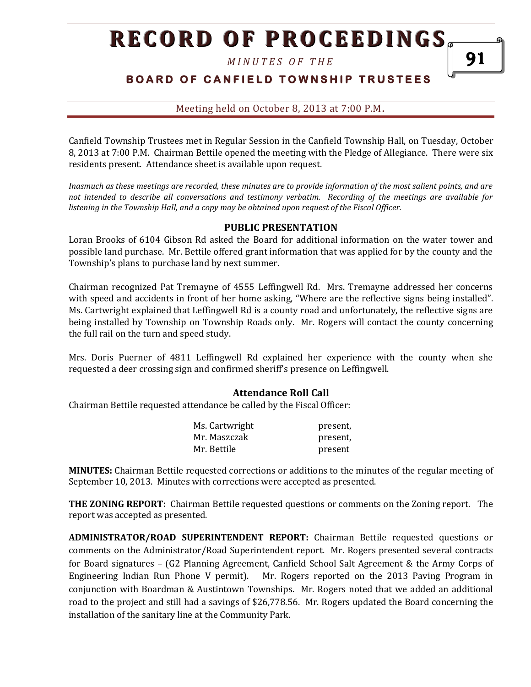*M I N U T E S O F T H E* 

# **BOARD OF CANFIELD TOWNSHIP TRUSTEES**

Meeting held on October 8, 2013 at 7:00 P.M**.**

Canfield Township Trustees met in Regular Session in the Canfield Township Hall, on Tuesday, October 8, 2013 at 7:00 P.M. Chairman Bettile opened the meeting with the Pledge of Allegiance. There were six residents present. Attendance sheet is available upon request.

*Inasmuch as these meetings are recorded, these minutes are to provide information of the most salient points, and are not intended to describe all conversations and testimony verbatim. Recording of the meetings are available for listening in the Township Hall, and a copy may be obtained upon request of the Fiscal Officer.* 

#### **PUBLIC PRESENTATION**

Loran Brooks of 6104 Gibson Rd asked the Board for additional information on the water tower and possible land purchase. Mr. Bettile offered grant information that was applied for by the county and the Township's plans to purchase land by next summer.

Chairman recognized Pat Tremayne of 4555 Leffingwell Rd. Mrs. Tremayne addressed her concerns with speed and accidents in front of her home asking, "Where are the reflective signs being installed". Ms. Cartwright explained that Leffingwell Rd is a county road and unfortunately, the reflective signs are being installed by Township on Township Roads only. Mr. Rogers will contact the county concerning the full rail on the turn and speed study.

Mrs. Doris Puerner of 4811 Leffingwell Rd explained her experience with the county when she requested a deer crossing sign and confirmed sheriff's presence on Leffingwell.

## **Attendance Roll Call**

Chairman Bettile requested attendance be called by the Fiscal Officer:

| Ms. Cartwright | present, |
|----------------|----------|
| Mr. Maszczak   | present, |
| Mr. Bettile    | present  |

**MINUTES:** Chairman Bettile requested corrections or additions to the minutes of the regular meeting of September 10, 2013. Minutes with corrections were accepted as presented.

**THE ZONING REPORT:** Chairman Bettile requested questions or comments on the Zoning report. The report was accepted as presented.

**ADMINISTRATOR/ROAD SUPERINTENDENT REPORT:** Chairman Bettile requested questions or comments on the Administrator/Road Superintendent report. Mr. Rogers presented several contracts for Board signatures – (G2 Planning Agreement, Canfield School Salt Agreement & the Army Corps of Engineering Indian Run Phone V permit). Mr. Rogers reported on the 2013 Paving Program in conjunction with Boardman & Austintown Townships. Mr. Rogers noted that we added an additional road to the project and still had a savings of \$26,778.56. Mr. Rogers updated the Board concerning the installation of the sanitary line at the Community Park.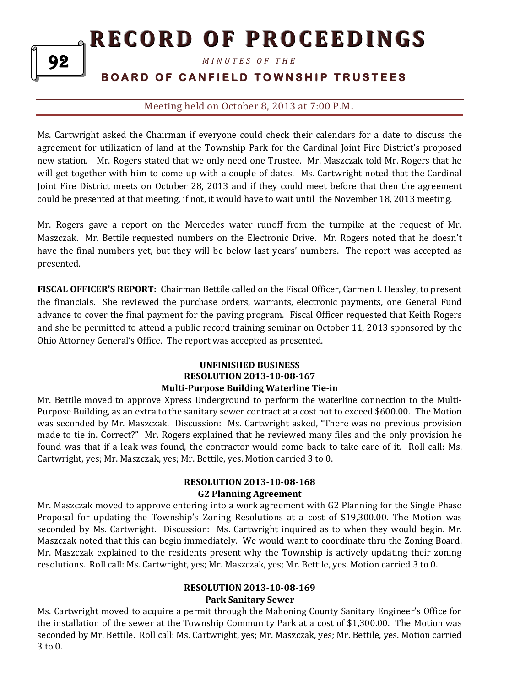*M I N U T E S O F T H E* 

# **BOARD OF CANFIELD TOWNSHIP TRUSTEES**

## Meeting held on October 8, 2013 at 7:00 P.M**.**

Ms. Cartwright asked the Chairman if everyone could check their calendars for a date to discuss the agreement for utilization of land at the Township Park for the Cardinal Joint Fire District's proposed new station. Mr. Rogers stated that we only need one Trustee. Mr. Maszczak told Mr. Rogers that he will get together with him to come up with a couple of dates. Ms. Cartwright noted that the Cardinal Joint Fire District meets on October 28, 2013 and if they could meet before that then the agreement could be presented at that meeting, if not, it would have to wait until the November 18, 2013 meeting.

Mr. Rogers gave a report on the Mercedes water runoff from the turnpike at the request of Mr. Maszczak. Mr. Bettile requested numbers on the Electronic Drive. Mr. Rogers noted that he doesn't have the final numbers yet, but they will be below last years' numbers. The report was accepted as presented.

**FISCAL OFFICER'S REPORT:** Chairman Bettile called on the Fiscal Officer, Carmen I. Heasley, to present the financials. She reviewed the purchase orders, warrants, electronic payments, one General Fund advance to cover the final payment for the paving program. Fiscal Officer requested that Keith Rogers and she be permitted to attend a public record training seminar on October 11, 2013 sponsored by the Ohio Attorney General's Office. The report was accepted as presented.

### **UNFINISHED BUSINESS RESOLUTION 2013-10-08-167 Multi-Purpose Building Waterline Tie-in**

Mr. Bettile moved to approve Xpress Underground to perform the waterline connection to the Multi-Purpose Building, as an extra to the sanitary sewer contract at a cost not to exceed \$600.00. The Motion was seconded by Mr. Maszczak. Discussion: Ms. Cartwright asked, "There was no previous provision made to tie in. Correct?" Mr. Rogers explained that he reviewed many files and the only provision he found was that if a leak was found, the contractor would come back to take care of it. Roll call: Ms. Cartwright, yes; Mr. Maszczak, yes; Mr. Bettile, yes. Motion carried 3 to 0.

## **RESOLUTION 2013-10-08-168 G2 Planning Agreement**

Mr. Maszczak moved to approve entering into a work agreement with G2 Planning for the Single Phase Proposal for updating the Township's Zoning Resolutions at a cost of \$19,300.00. The Motion was seconded by Ms. Cartwright. Discussion: Ms. Cartwright inquired as to when they would begin. Mr. Maszczak noted that this can begin immediately. We would want to coordinate thru the Zoning Board. Mr. Maszczak explained to the residents present why the Township is actively updating their zoning resolutions. Roll call: Ms. Cartwright, yes; Mr. Maszczak, yes; Mr. Bettile, yes. Motion carried 3 to 0.

#### **RESOLUTION 2013-10-08-169 Park Sanitary Sewer**

Ms. Cartwright moved to acquire a permit through the Mahoning County Sanitary Engineer's Office for the installation of the sewer at the Township Community Park at a cost of \$1,300.00. The Motion was seconded by Mr. Bettile. Roll call: Ms. Cartwright, yes; Mr. Maszczak, yes; Mr. Bettile, yes. Motion carried 3 to 0.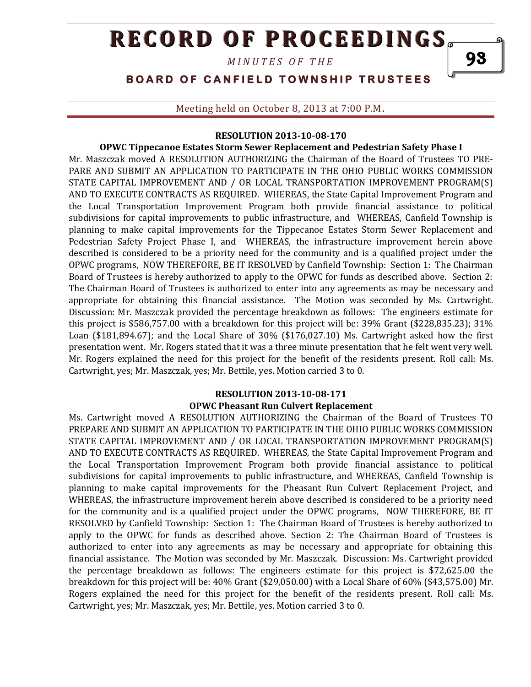*M I N U T E S O F T H E* 

93

# **BOARD OF CANFIELD TOWNSHIP TRUSTEES**

Meeting held on October 8, 2013 at 7:00 P.M**.**

#### **RESOLUTION 2013-10-08-170**

#### **OPWC Tippecanoe Estates Storm Sewer Replacement and Pedestrian Safety Phase I**

Mr. Maszczak moved A RESOLUTION AUTHORIZING the Chairman of the Board of Trustees TO PRE-PARE AND SUBMIT AN APPLICATION TO PARTICIPATE IN THE OHIO PUBLIC WORKS COMMISSION STATE CAPITAL IMPROVEMENT AND / OR LOCAL TRANSPORTATION IMPROVEMENT PROGRAM(S) AND TO EXECUTE CONTRACTS AS REQUIRED. WHEREAS, the State Capital Improvement Program and the Local Transportation Improvement Program both provide financial assistance to political subdivisions for capital improvements to public infrastructure, and WHEREAS, Canfield Township is planning to make capital improvements for the Tippecanoe Estates Storm Sewer Replacement and Pedestrian Safety Project Phase I, and WHEREAS, the infrastructure improvement herein above described is considered to be a priority need for the community and is a qualified project under the OPWC programs, NOW THEREFORE, BE IT RESOLVED by Canfield Township: Section 1: The Chairman Board of Trustees is hereby authorized to apply to the OPWC for funds as described above. Section 2: The Chairman Board of Trustees is authorized to enter into any agreements as may be necessary and appropriate for obtaining this financial assistance. The Motion was seconded by Ms. Cartwright. Discussion: Mr. Maszczak provided the percentage breakdown as follows: The engineers estimate for this project is \$586,757.00 with a breakdown for this project will be: 39% Grant (\$228,835.23); 31% Loan (\$181,894.67); and the Local Share of 30% (\$176,027.10) Ms. Cartwright asked how the first presentation went. Mr. Rogers stated that it was a three minute presentation that he felt went very well. Mr. Rogers explained the need for this project for the benefit of the residents present. Roll call: Ms. Cartwright, yes; Mr. Maszczak, yes; Mr. Bettile, yes. Motion carried 3 to 0.

#### **RESOLUTION 2013-10-08-171 OPWC Pheasant Run Culvert Replacement**

Ms. Cartwright moved A RESOLUTION AUTHORIZING the Chairman of the Board of Trustees TO PREPARE AND SUBMIT AN APPLICATION TO PARTICIPATE IN THE OHIO PUBLIC WORKS COMMISSION STATE CAPITAL IMPROVEMENT AND / OR LOCAL TRANSPORTATION IMPROVEMENT PROGRAM(S) AND TO EXECUTE CONTRACTS AS REQUIRED. WHEREAS, the State Capital Improvement Program and the Local Transportation Improvement Program both provide financial assistance to political subdivisions for capital improvements to public infrastructure, and WHEREAS, Canfield Township is planning to make capital improvements for the Pheasant Run Culvert Replacement Project, and WHEREAS, the infrastructure improvement herein above described is considered to be a priority need for the community and is a qualified project under the OPWC programs, NOW THEREFORE, BE IT RESOLVED by Canfield Township: Section 1: The Chairman Board of Trustees is hereby authorized to apply to the OPWC for funds as described above. Section 2: The Chairman Board of Trustees is authorized to enter into any agreements as may be necessary and appropriate for obtaining this financial assistance. The Motion was seconded by Mr. Maszczak. Discussion: Ms. Cartwright provided the percentage breakdown as follows: The engineers estimate for this project is \$72,625.00 the breakdown for this project will be: 40% Grant (\$29,050.00) with a Local Share of 60% (\$43,575.00) Mr. Rogers explained the need for this project for the benefit of the residents present. Roll call: Ms. Cartwright, yes; Mr. Maszczak, yes; Mr. Bettile, yes. Motion carried 3 to 0.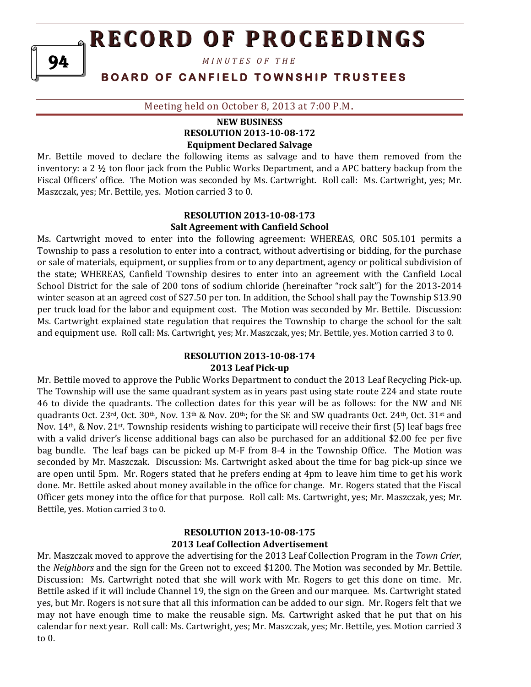*M I N U T E S O F T H E* 

# **BOARD OF CANFIELD TOWNSHIP TRUSTEES**

Meeting held on October 8, 2013 at 7:00 P.M**.**

#### **NEW BUSINESS RESOLUTION 2013-10-08-172 Equipment Declared Salvage**

Mr. Bettile moved to declare the following items as salvage and to have them removed from the inventory: a 2 ½ ton floor jack from the Public Works Department, and a APC battery backup from the Fiscal Officers' office. The Motion was seconded by Ms. Cartwright. Roll call: Ms. Cartwright, yes; Mr. Maszczak, yes; Mr. Bettile, yes. Motion carried 3 to 0.

## **RESOLUTION 2013-10-08-173 Salt Agreement with Canfield School**

Ms. Cartwright moved to enter into the following agreement: WHEREAS, ORC 505.101 permits a Township to pass a resolution to enter into a contract, without advertising or bidding, for the purchase or sale of materials, equipment, or supplies from or to any department, agency or political subdivision of the state; WHEREAS, Canfield Township desires to enter into an agreement with the Canfield Local School District for the sale of 200 tons of sodium chloride (hereinafter "rock salt") for the 2013-2014 winter season at an agreed cost of \$27.50 per ton. In addition, the School shall pay the Township \$13.90 per truck load for the labor and equipment cost. The Motion was seconded by Mr. Bettile. Discussion: Ms. Cartwright explained state regulation that requires the Township to charge the school for the salt and equipment use. Roll call: Ms. Cartwright, yes; Mr. Maszczak, yes; Mr. Bettile, yes. Motion carried 3 to 0.

#### **RESOLUTION 2013-10-08-174 2013 Leaf Pick-up**

Mr. Bettile moved to approve the Public Works Department to conduct the 2013 Leaf Recycling Pick-up. The Township will use the same quadrant system as in years past using state route 224 and state route 46 to divide the quadrants. The collection dates for this year will be as follows: for the NW and NE quadrants Oct. 23<sup>rd</sup>, Oct. 30<sup>th</sup>, Nov. 13<sup>th</sup> & Nov. 20<sup>th</sup>; for the SE and SW quadrants Oct. 24<sup>th</sup>, Oct. 31<sup>st</sup> and Nov.  $14$ <sup>th</sup>, & Nov. 21<sup>st</sup>. Township residents wishing to participate will receive their first (5) leaf bags free with a valid driver's license additional bags can also be purchased for an additional \$2.00 fee per five bag bundle. The leaf bags can be picked up M-F from 8-4 in the Township Office. The Motion was seconded by Mr. Maszczak. Discussion: Ms. Cartwright asked about the time for bag pick-up since we are open until 5pm. Mr. Rogers stated that he prefers ending at 4pm to leave him time to get his work done. Mr. Bettile asked about money available in the office for change. Mr. Rogers stated that the Fiscal Officer gets money into the office for that purpose. Roll call: Ms. Cartwright, yes; Mr. Maszczak, yes; Mr. Bettile, yes. Motion carried 3 to 0.

## **RESOLUTION 2013-10-08-175 2013 Leaf Collection Advertisement**

Mr. Maszczak moved to approve the advertising for the 2013 Leaf Collection Program in the *Town Crier*, the *Neighbors* and the sign for the Green not to exceed \$1200. The Motion was seconded by Mr. Bettile. Discussion: Ms. Cartwright noted that she will work with Mr. Rogers to get this done on time. Mr. Bettile asked if it will include Channel 19, the sign on the Green and our marquee. Ms. Cartwright stated yes, but Mr. Rogers is not sure that all this information can be added to our sign. Mr. Rogers felt that we may not have enough time to make the reusable sign. Ms. Cartwright asked that he put that on his calendar for next year. Roll call: Ms. Cartwright, yes; Mr. Maszczak, yes; Mr. Bettile, yes. Motion carried 3 to 0.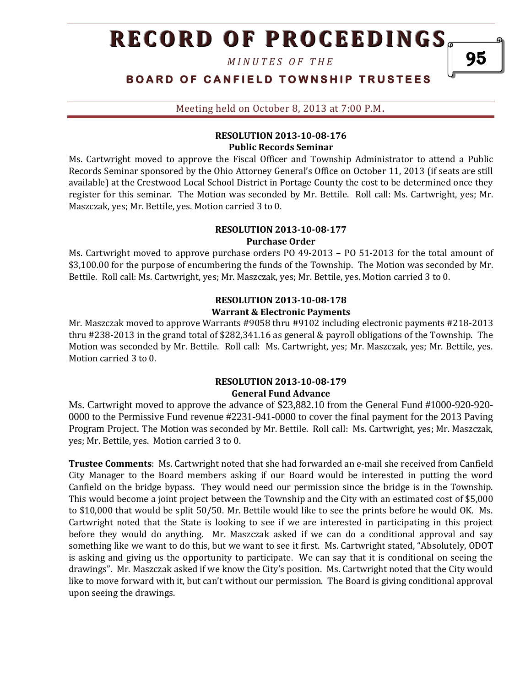*M I N U T E S O F T H E* 

**BOARD OF CANFIELD TOWNSHIP TRUSTEES** 

Meeting held on October 8, 2013 at 7:00 P.M**.**

## **RESOLUTION 2013-10-08-176 Public Records Seminar**

Ms. Cartwright moved to approve the Fiscal Officer and Township Administrator to attend a Public Records Seminar sponsored by the Ohio Attorney General's Office on October 11, 2013 (if seats are still available) at the Crestwood Local School District in Portage County the cost to be determined once they register for this seminar. The Motion was seconded by Mr. Bettile. Roll call: Ms. Cartwright, yes; Mr. Maszczak, yes; Mr. Bettile, yes. Motion carried 3 to 0.

#### **RESOLUTION 2013-10-08-177 Purchase Order**

Ms. Cartwright moved to approve purchase orders PO 49-2013 – PO 51-2013 for the total amount of \$3,100.00 for the purpose of encumbering the funds of the Township. The Motion was seconded by Mr. Bettile. Roll call: Ms. Cartwright, yes; Mr. Maszczak, yes; Mr. Bettile, yes. Motion carried 3 to 0.

## **RESOLUTION 2013-10-08-178 Warrant & Electronic Payments**

Mr. Maszczak moved to approve Warrants #9058 thru #9102 including electronic payments #218-2013 thru #238-2013 in the grand total of \$282,341.16 as general & payroll obligations of the Township. The Motion was seconded by Mr. Bettile. Roll call: Ms. Cartwright, yes; Mr. Maszczak, yes; Mr. Bettile, yes. Motion carried 3 to 0.

## **RESOLUTION 2013-10-08-179 General Fund Advance**

Ms. Cartwright moved to approve the advance of \$23,882.10 from the General Fund #1000-920-920- 0000 to the Permissive Fund revenue #2231-941-0000 to cover the final payment for the 2013 Paving Program Project. The Motion was seconded by Mr. Bettile. Roll call: Ms. Cartwright, yes; Mr. Maszczak, yes; Mr. Bettile, yes. Motion carried 3 to 0.

**Trustee Comments**: Ms. Cartwright noted that she had forwarded an e-mail she received from Canfield City Manager to the Board members asking if our Board would be interested in putting the word Canfield on the bridge bypass. They would need our permission since the bridge is in the Township. This would become a joint project between the Township and the City with an estimated cost of \$5,000 to \$10,000 that would be split 50/50. Mr. Bettile would like to see the prints before he would OK. Ms. Cartwright noted that the State is looking to see if we are interested in participating in this project before they would do anything. Mr. Maszczak asked if we can do a conditional approval and say something like we want to do this, but we want to see it first. Ms. Cartwright stated, "Absolutely, ODOT is asking and giving us the opportunity to participate. We can say that it is conditional on seeing the drawings". Mr. Maszczak asked if we know the City's position. Ms. Cartwright noted that the City would like to move forward with it, but can't without our permission. The Board is giving conditional approval upon seeing the drawings.